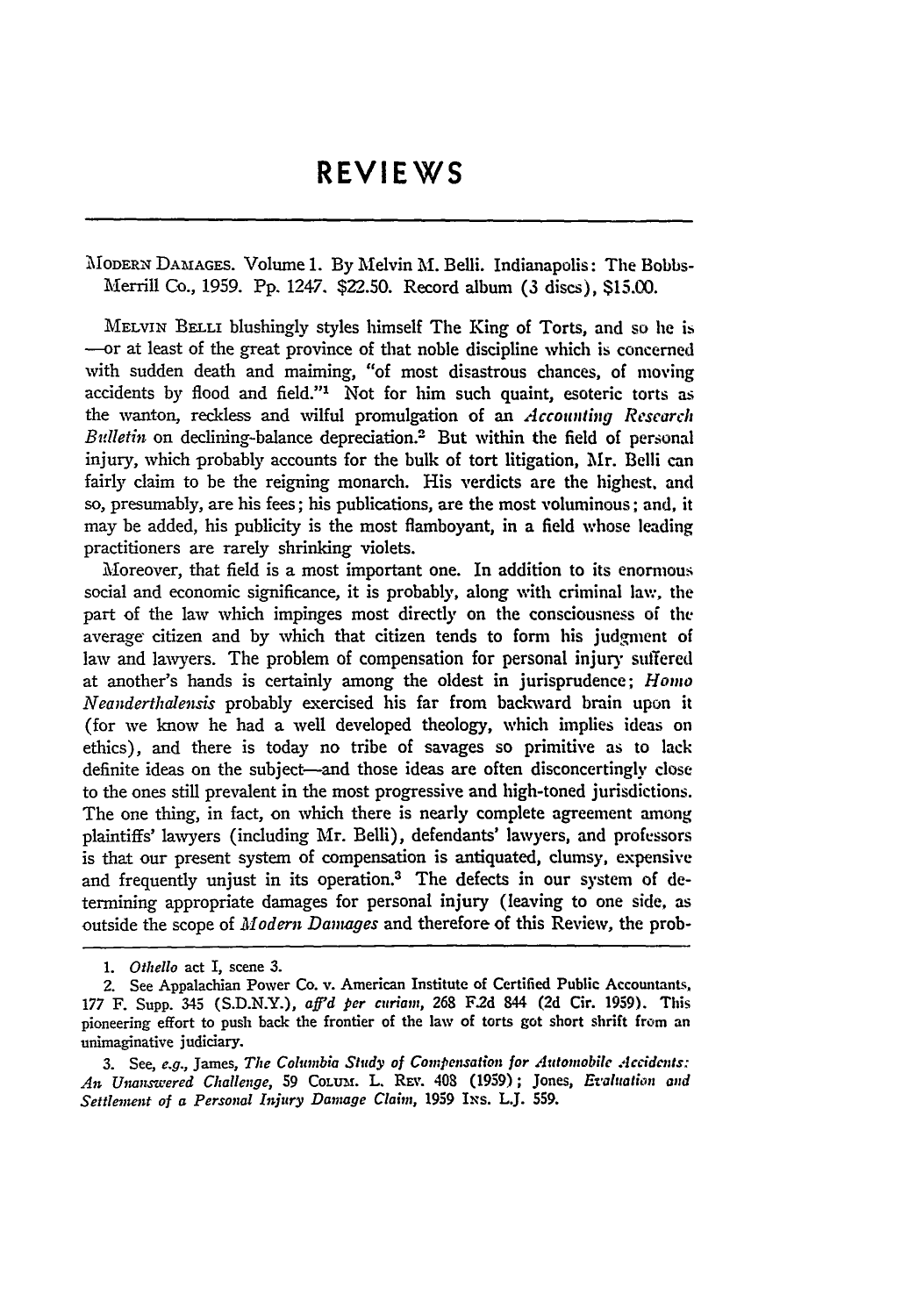## MODERN DAMAGES. Volume **1. By** Melvin M. Belli. Indianapolis: The Bobbs-Merrill Co., 1959. Pp. 1247. \$22.50. Record album (3 discs), \$15.00.

MELVIN BELLI blushingly styles himself The King of Torts, and so he is -or at least of the great province of that noble discipline which **is** concerned with sudden death and maiming, "of most disastrous chances, of moving accidents **by** flood and field."' Not for him such quaint, esoteric torts as the wanton, reckless and wilful promulgation of an Accounting Research *Bulletin* on declining-balance depreciation.2 But within the field of personal injury, which probably accounts for the bulk of tort litigation, Mr. Belli can fairly claim to be the reigning monarch. His verdicts are the highest. and so, presumably, are his fees; his publications, are the most voluminous; and, it may be added, his publicity is the most flamboyant, in a field whose leading practitioners are rarely shrinking violets.

Moreover, that field is a most important one. In addition to its enormous social and economic significance, it is probably, along with criminal law, the part of the law which impinges most directly on the consciousness of the average citizen and **by** which that citizen tends to form his judgment of law and lawyers. The problem of compensation for personal injury suffered at another's hands is certainly among the oldest in jurisprudence; *Honto Neanderthalensis* probably exercised his far from backward brain upon it (for we know he had a well developed theology, which implies ideas on ethics), and there is today no tribe of savages so primitive as to lack definite ideas on the subject-and those ideas are often disconcertingly close to the ones still prevalent in the most progressive and high-toned jurisdictions. The one thing, in fact, on which there is nearly complete agreement among plaintiffs' lawyers (including Mr. Belli), defendants' lawyers, and professors is that our present system of compensation is antiquated, clumsy, expensive and frequently unjust in its operation.3 The defects in our system of determining appropriate damages for personal injury (leaving to one side, as outside the scope of *Modern Damages* and therefore of this Review, the prob-

**3.** See, *e.g.,* James, *The Columbia Study of Conpensation for Automobile Accidcnts:* An Unanswered Challenge, 59 CoLUM. L. REV. 408 (1959); Jones, Evaluation and *Settlement of a Personal Injury* Damage Claim, **1959** INs. L.J. **559.**

*<sup>1.</sup> Othello* act I, scene **3.**

<sup>2.</sup> See Appalachian Power Co. v. American Institute of Certified Public Accountants, **177** F. Supp. 345 (S.D.N.Y.), *aff'd per curiam,* **268 F.2d 844** (2d Cir. 1959). This pioneering effort to push back the frontier of the law of torts got short shrift from an unimaginative judiciary.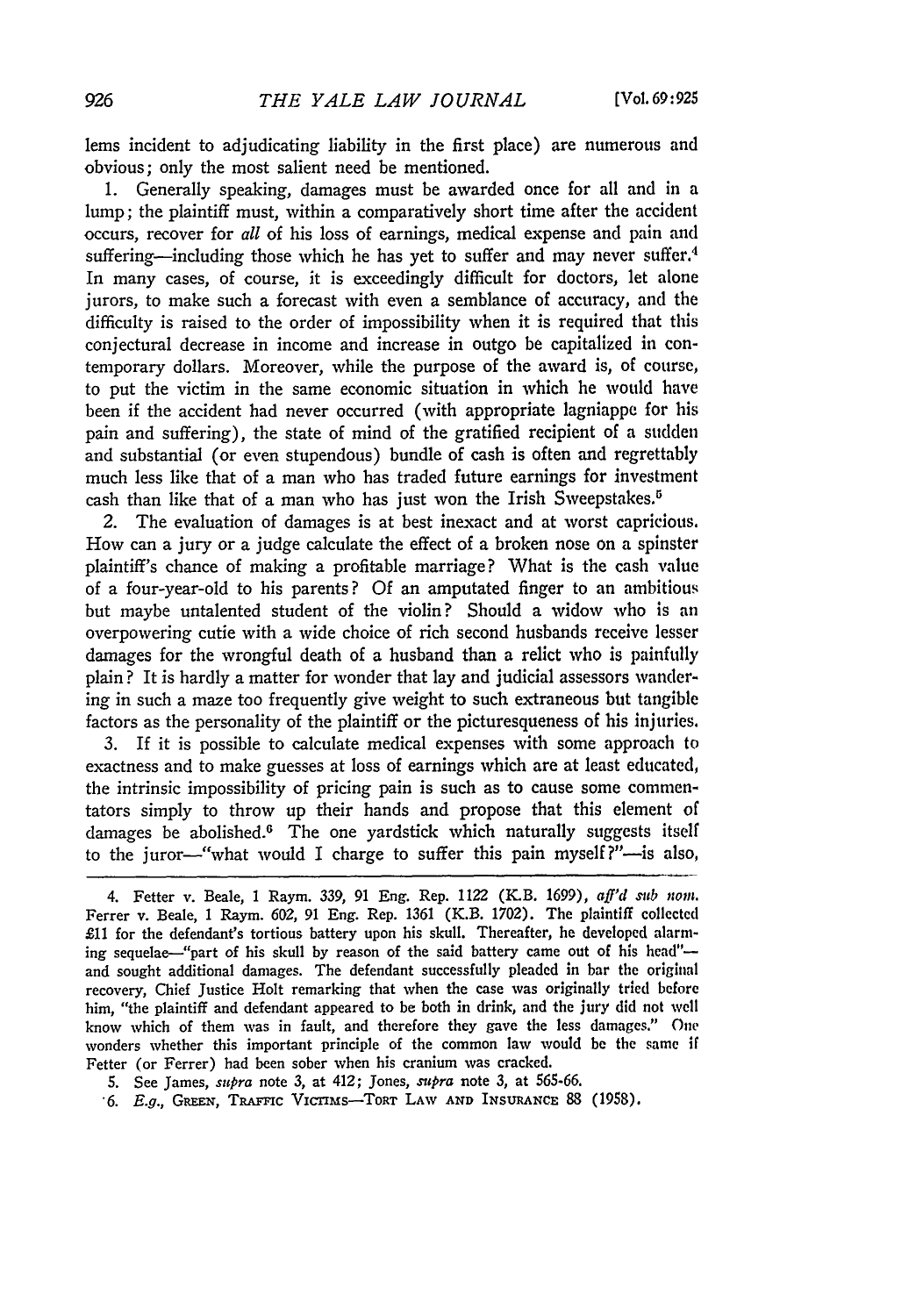lems incident to adjudicating liability in the first place) are numerous and obvious; only the most salient need be mentioned.

1. Generally speaking, damages must be awarded once for all and in a lump; the plaintiff must, within a comparatively short time after the accident occurs, recover for *all* of his loss of earnings, medical expense and pain and suffering-including those which he has yet to suffer and may never suffer.<sup>4</sup> In many cases, of course, it is exceedingly difficult for doctors, let alone jurors, to make such a forecast with even a semblance of accuracy, and the difficulty is raised to the order of impossibility when it is required that this conjectural decrease in income and increase in outgo be capitalized in contemporary dollars. Moreover, while the purpose of the award is, of course, to put the victim in the same economic situation in which he would have been if the accident had never occurred (with appropriate lagniappe for his pain and suffering), the state of mind of the gratified recipient of a sudden and substantial (or even stupendous) bundle of cash is often and regrettably much less like that of a man who has traded future earnings for investment cash than like that of a man who has just won the Irish Sweepstakes.<sup>5</sup>

2. The evaluation of damages is at best inexact and at worst capricious. How can a jury or a judge calculate the effect of a broken nose on a spinster plaintiff's chance of making a profitable marriage? What is the cash value of a four-year-old to his parents? Of an amputated finger to an ambitious but maybe untalented student of the violin? Should a widow who is an overpowering cutie with a wide choice of rich second husbands receive lesser damages for the wrongful death of a husband than a relict who is painfully plain? It is hardly a matter for wonder that lay and judicial assessors wandering in such a maze too frequently give weight to such extraneous but tangible factors as the personality of the plaintiff or the picturesqueness of his injuries.

3. If it is possible to calculate medical expenses with some approach to exactness and to make guesses at loss of earnings which are at least educated, the intrinsic impossibility of pricing pain is such as to cause some commentators simply to throw up their hands and propose that this element of damages be abolished.<sup>6</sup> The one yardstick which naturally suggests itself to the juror-"what would I charge to suffer this pain myself?"-is also,

**6. E.g., GREEN, TRAFFIC VICTIMS-TORT LAW AND INSURANCE 88 (1958).** 

<sup>4.</sup> Fetter v. Beale, 1 Raym. 339, 91 Eng. Rep. 1122 (K.B. 1699), *aff'd sub non.* Ferrer v. Beale, 1 Raym. 602, **91** Eng. Rep. 1361 (K.B. 1702). The plaintiff collected £11 for the defendant's tortious battery upon his skull. Thereafter, he developed alarming sequelae—"part of his skull by reason of the said battery came out of his head" and sought additional damages. The defendant successfully pleaded in bar the original recovery, Chief Justice Holt remarking that when the case was originally tried before him, "the plaintiff and defendant appeared to be both in drink, and the jury did not well know which of them was in fault, and therefore they gave the less damages." One wonders whether this important principle of the common law would be the same **if** Fetter (or Ferrer) had been sober when his cranium was cracked.

<sup>5.</sup> See James, *supra* note **3,** at 412; Jones, *supra* note 3, at 565-66.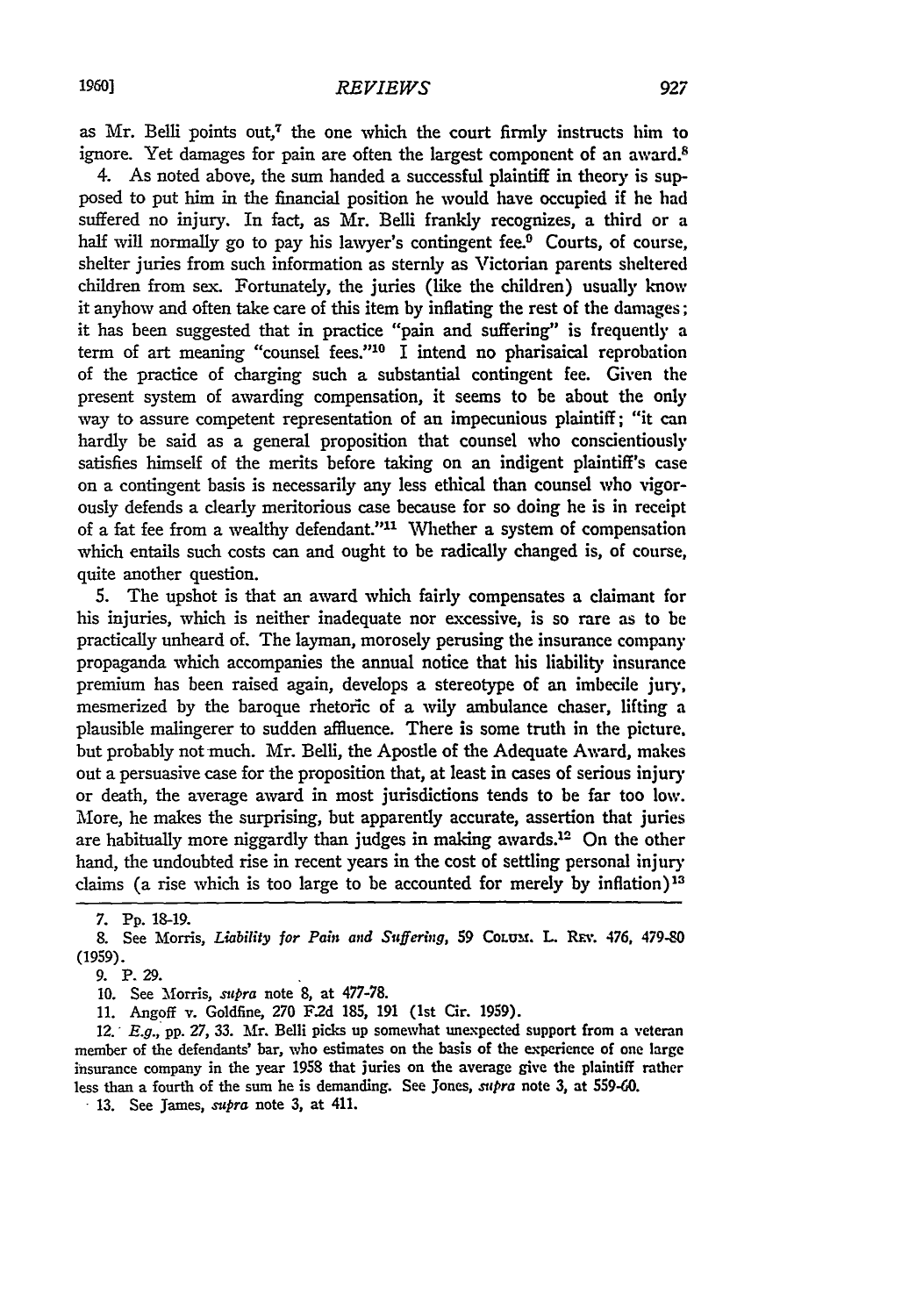as Mr. Belli points out, $7$  the one which the court firmly instructs him to ignore. Yet damages for pain are often the largest component of an award.<sup>8</sup>

4. As noted above, the sum handed a successful plaintiff in theory is supposed to put him in the financial position he would have occupied if he had suffered no injury. In fact, as Mr. Belli frankly recognizes, a third or a half will normally go to pay his lawyer's contingent fee.<sup>0</sup> Courts, of course, shelter juries from such information as sternly as Victorian parents sheltered children from sex. Fortunately, the juries (like the children) usually know it anyhow and often take care of this item by inflating the rest of the damages; it has been suggested that in practice "pain and suffering" is frequently a term of art meaning "counsel fees."<sup>10</sup> I intend no pharisaical reprobation of the practice of charging such a substantial contingent fee. Given the present system of awarding compensation, it seems to be about the only way to assure competent representation of an impecunious plaintiff; "it can hardly be said as a general proposition that counsel who conscientiously satisfies himself of the merits before taking on an indigent plaintiff's case on a contingent basis is necessarily any less ethical than counsel who vigorously defends a clearly meritorious case because for so doing he is in receipt of a fat fee from a wealthy defendant."<sup>11</sup> Whether a system of compensation which entails such costs can and ought to be radically changed is, of course, quite another question.

5. The upshot is that an award which fairly compensates a claimant for his injuries, which is neither inadequate nor excessive, is so rare as to **be** practically unheard of. The layman, morosely perusing the insurance company propaganda which accompanies the annual notice that his liability insurance premium has been raised again, develops a stereotype of an imbecile jury, mesmerized by the baroque rhetoric of a wily ambulance chaser, lifting a plausible malingerer to sudden affluence. There is some truth in the picture, but probably not much. Mr. Belli, the Apostle of the Adequate Award, makes out a persuasive case for the proposition that, at least in cases of serious injury or death, the average award in most jurisdictions tends to be far too low. More, he makes the surprising, but apparently accurate, assertion that juries are habitually more niggardly than judges in making awards.12 On the other hand, the undoubted rise in recent years in the cost of settling personal injury claims (a rise which is too large to be accounted for merely by inflation)<sup>13</sup>

7. Pp. 18-19.

**8.** See Morris, *Liability for Pain and Suffering,* 59 **COLUM.** L. **Rfv.** 476, 479-80 (1959).

9. P. 29.

10. See Morris, *supra* note 8, at 477-78.

**11.** Angoff v. Goldfine, 270 F2d 185, **191** (Ist Cir. 1959).

12.' *E.g.,* **pp.** 27, 33. Mr. Belli picks up somewhat unexpected support from a veteran member of the defendants' bar, who estimates on the basis of the experience of one large insurance company in the year 1958 that juries on the average give the plaintiff rather less than a fourth of the sum he is demanding. See Jones, *supra* note **3,** at **559-60. . 13.** See James, *supra* note **3,** at 411.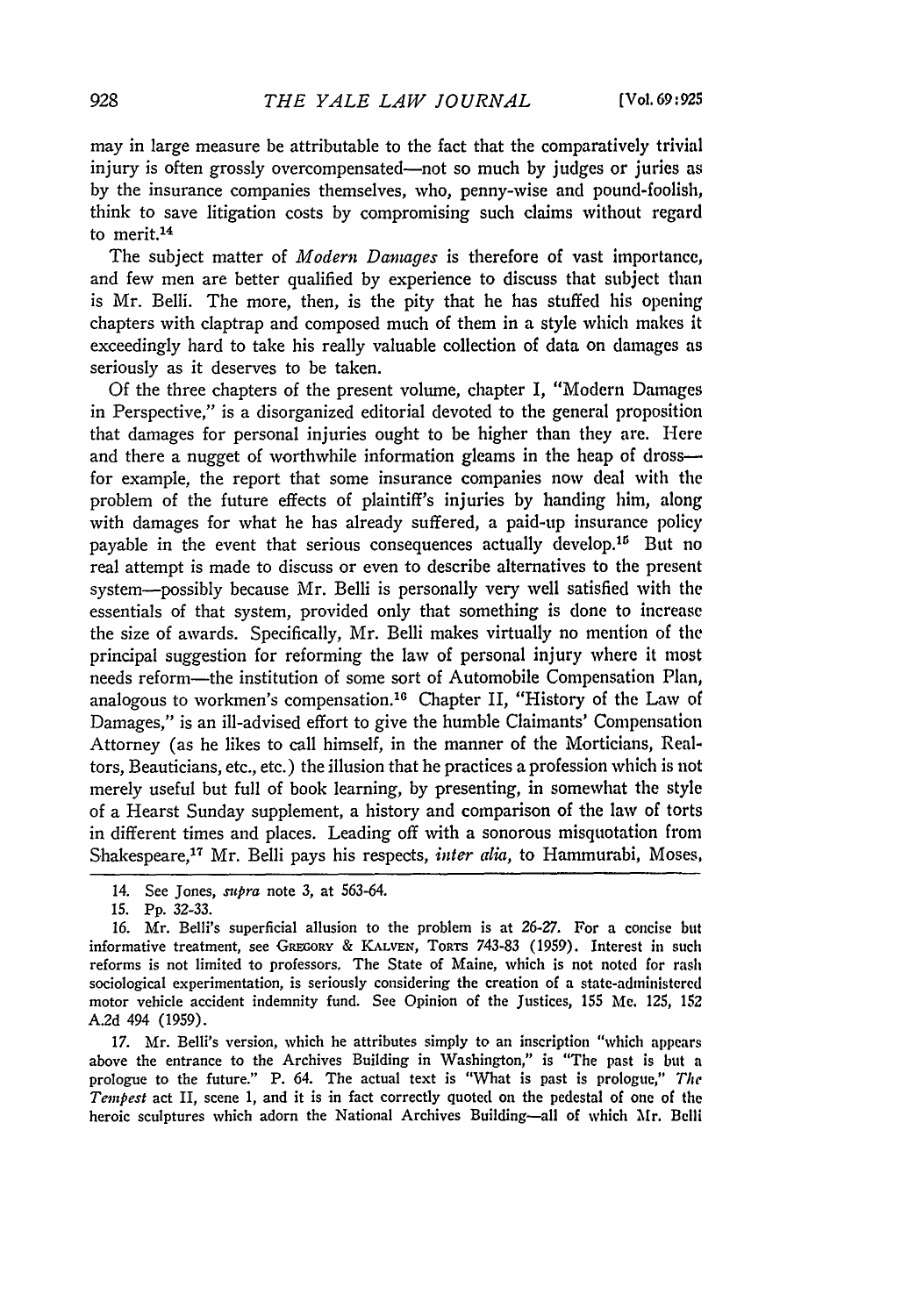may in large measure be attributable to the fact that the comparatively trivial injury is often grossly overcompensated-not so much **by** judges or juries as **by** the insurance companies themselves, who, penny-wise and pound-foolish, think to save litigation costs **by** compromising such claims without regard to merit.<sup>14</sup>

The subject matter of *Modern Damages* is therefore of vast importance, and few men are better qualified **by** experience to discuss that subject than is Mr. Belli. The more, then, is the pity that he has stuffed his opening chapters with claptrap and composed much of them in a style which makes it exceedingly hard to take his really valuable collection of data on damages as seriously as it deserves to be taken.

**Of** the three chapters of the present volume, chapter I, "Modern Damages in Perspective," is a disorganized editorial devoted to the general proposition that damages for personal injuries ought to be higher than they are. Here and there a nugget of worthwhile information gleams in the heap of drossfor example, the report that some insurance companies now deal with the problem of the future effects of plaintiff's injuries by handing him, along with damages for what he has already suffered, a paid-up insurance policy payable in the event that serious consequences actually develop.<sup>15</sup> But no real attempt is made to discuss or even to describe alternatives to the present system-possibly because Mr. Belli is personally very well satisfied with the essentials of that system, provided only that something is done to increase the size of awards. Specifically, Mr. Belli makes virtually no mention of the principal suggestion for reforming the law of personal injury where it most needs reform-the institution of some sort of Automobile Compensation Plan, analogous to workmen's compensation. 16 Chapter II, "History of the Law of Damages," is an ill-advised effort to give the humble Claimants' Compensation Attorney (as he likes to call himself, in the manner of the Morticians, Realtors, Beauticians, etc., etc.) the illusion that he practices a profession which is not merely useful but full of book learning, by presenting, in somewhat the style of a Hearst Sunday supplement, a history and comparison of the law of torts in different times and places. Leading off with a sonorous misquotation from Shakespeare,<sup>17</sup> Mr. Belli pays his respects, *inter alia*, to Hammurabi, Moses,

17. Mr. Belli's version, which he attributes simply to an inscription "which appears above the entrance to the Archives Building in Washington," is "The past is but a prologue to the future." P. 64. The actual text is "What is past is prologue," *The Tempest* act II, scene 1, and it is in fact correctly quoted on the pedestal of one of the heroic sculptures which adorn the National Archives Building-all of which Mr. Belli

<sup>14.</sup> See Jones, *supra* note 3, at 563-64.

**<sup>15.</sup>** Pp. 32-33.

<sup>16.</sup> Mr. Belli's superficial allusion to the problem is at 26-27. For a concise but informative treatment, see **GRECoRY** & **KALVEN,** ToRTs 743-83 (1959). Interest in such reforms is not limited to professors. The State of Maine, which is not noted for rash sociological experimentation, is seriously considering the creation of a state-administered motor vehicle accident indemnity fund. See Opinion of the Justices, **155** Me. 125, **152** A.2d 494 (1959).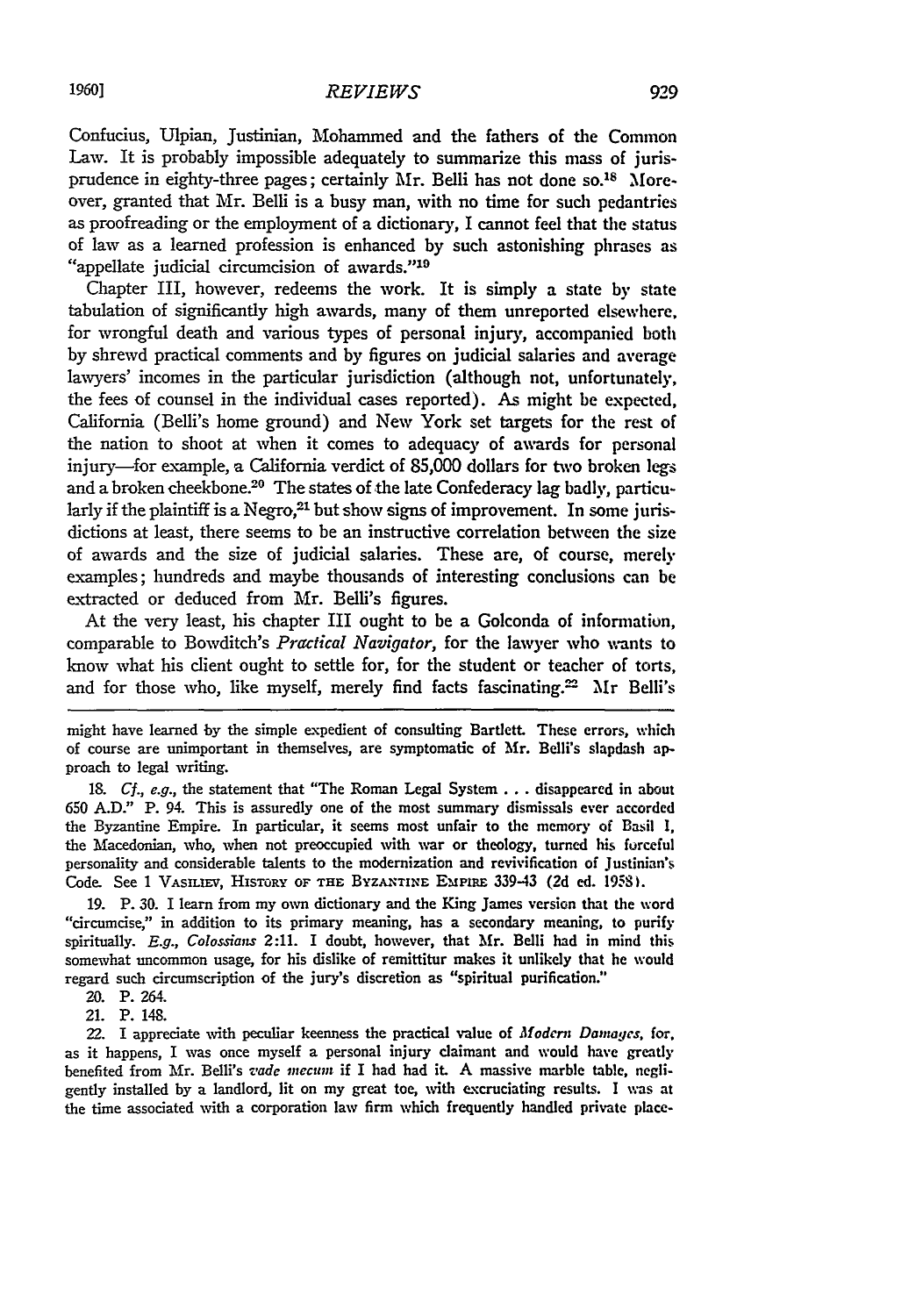Confucius, Ulpian, Justinian, Mohammed and the fathers of the Common Law. It is probably impossible adequately to summarize this mass of jurisprudence in eighty-three pages; certainly Mr. Belli has not done so.<sup>18</sup> Moreover, granted that Mr. Belli is a busy man, with no time for such pedantries as proofreading or the employment of a dictionary, I cannot feel that the status of law as a learned profession is enhanced by such astonishing phrases as "appellate judicial circumcision of awards."<sup>19</sup>

Chapter III, however, redeems the work. It is simply a state **by** state tabulation of significantly high awards, many of them unreported elsewhere, for wrongful death and various types of personal injury, accompanied both **by** shrewd practical comments and by figures on judicial salaries and average lawyers' incomes in the particular jurisdiction (although not, unfortunately, the fees of counsel in the individual cases reported). **As** might be expected, California (Belli's home ground) and New York set targets for the rest of the nation to shoot at when it comes to adequacy of awards for personal injury-for example, a California verdict of 85,000 dollars for two broken legs and a broken cheekbone.<sup>20</sup> The states of the late Confederacy lag badly, particularly if the plaintiff is a Negro, $21$  but show signs of improvement. In some jurisdictions at least, there seems to be an instructive correlation between the size of awards and the size of judicial salaries. These are, of course, merely examples; hundreds and maybe thousands of interesting conclusions can be extracted or deduced from Mr. Beli's figures.

At the very least, his chapter III ought to be a Golconda of information, comparable to Bowditch's *Prartical Navigator,* for the lawyer who wants to know what his client ought to settle for, for the student or teacher of torts, and for those who, like myself, merely find facts fascinating.<sup>22</sup> Mr Belli's

might have learned **by** the simple expedient of consulting Bartlett. These errors, which of course are unimportant in themselves, are symptomatic of Mr. Belli's slapdash approach to legal writing.

**18.** *Cf., e.g.,* the statement that "The Roman Legal System... disappeared in about **<sup>650</sup>A.D."** P. 94. This is assuredly one of the most summary dismissals ever accorded the Byzantine Empire. In particular, it seems most unfair to the memory of Basil I, the Macedonian, who, when not preoccupied with war or theology, turned his forceful personality and considerable talents to the modernization and revivification of Justinian's Code. See **1 VASILIEV, HIsTORY OF THE** BYZANTlzE **EmPias** 339-43 (2d ed. **1958).**

**19.** P. **30.** I learn from my own dictionary and the King James version that the word "circumcise," in addition to its primary meaning, has a secondary meaning, to purify spiritually. *E.g., Colossians* 2:11. **I** doubt, however, that Air. Belli had in mind this somewhat uncommon usage, for his dislike of remittitur makes it unlikely that he would regard such circumscription of the jury's discretion as "spiritual purification."

20. P. 264.

21. P. 148.

22. I appreciate with peculiar keenness the practical value of *Modern* Damages, for, as it happens, I was once myself a personal injury claimant and would have greatly benefited from Air. Belli's *vade inecum* if I had had it. **A** massive marble table, negligently installed by a landlord, lit on my great toe, with excruciating results. I was at the time associated with a corporation law firm which frequently handled private place